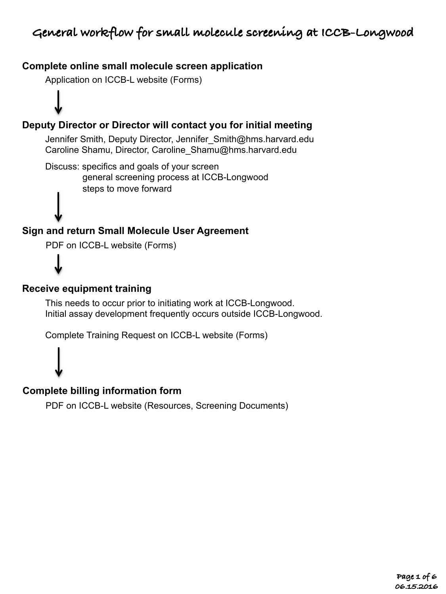## **Complete online small molecule screen application**

Application on ICCB-L website (Forms)

# **Deputy Director or Director will contact you for initial meeting**

Jennifer Smith, Deputy Director, Jennifer Smith@hms.harvard.edu Caroline Shamu, Director, Caroline\_Shamu@hms.harvard.edu

Discuss: specifics and goals of your screen general screening process at ICCB-Longwood steps to move forward

# **Sign and return Small Molecule User Agreement**

PDF on ICCB-L website (Forms)

### **Receive equipment training**

This needs to occur prior to initiating work at ICCB-Longwood. Initial assay development frequently occurs outside ICCB-Longwood.

Complete Training Request on ICCB-L website (Forms)



### **Complete billing information form**

PDF on ICCB-L website (Resources, Screening Documents)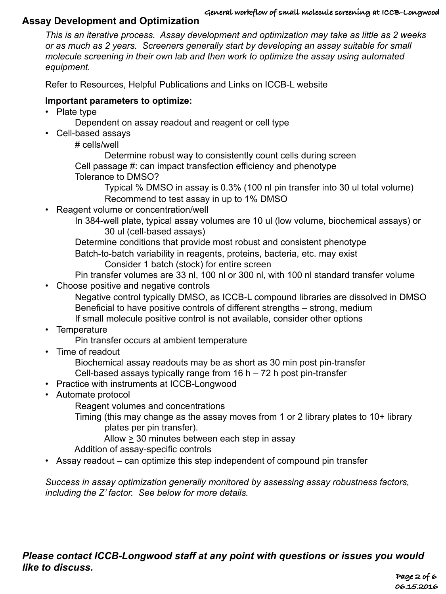#### **General workflow of small molecule screening at ICCB-Longwood**

### **Assay Development and Optimization**

*This is an iterative process. Assay development and optimization may take as little as 2 weeks or as much as 2 years. Screeners generally start by developing an assay suitable for small molecule screening in their own lab and then work to optimize the assay using automated equipment.* 

Refer to Resources, Helpful Publications and Links on ICCB-L website

### **Important parameters to optimize:**

- Plate type
	- Dependent on assay readout and reagent or cell type
- Cell-based assays
	- # cells/well

Determine robust way to consistently count cells during screen

Cell passage #: can impact transfection efficiency and phenotype

Tolerance to DMSO?

 Typical % DMSO in assay is 0.3% (100 nl pin transfer into 30 ul total volume) Recommend to test assay in up to 1% DMSO

- Reagent volume or concentration/well
	- In 384-well plate, typical assay volumes are 10 ul (low volume, biochemical assays) or 30 ul (cell-based assays)

Determine conditions that provide most robust and consistent phenotype

Batch-to-batch variability in reagents, proteins, bacteria, etc. may exist Consider 1 batch (stock) for entire screen

- Pin transfer volumes are 33 nl, 100 nl or 300 nl, with 100 nl standard transfer volume
- Choose positive and negative controls

Negative control typically DMSO, as ICCB-L compound libraries are dissolved in DMSO Beneficial to have positive controls of different strengths – strong, medium If small molecule positive control is not available, consider other options

• Temperature

Pin transfer occurs at ambient temperature

• Time of readout

Biochemical assay readouts may be as short as 30 min post pin-transfer Cell-based assays typically range from 16 h – 72 h post pin-transfer

- Practice with instruments at ICCB-Longwood
- Automate protocol

Reagent volumes and concentrations

Timing (this may change as the assay moves from 1 or 2 library plates to 10+ library plates per pin transfer).

Allow  $\geq$  30 minutes between each step in assay

Addition of assay-specific controls

• Assay readout – can optimize this step independent of compound pin transfer

*Success in assay optimization generally monitored by assessing assay robustness factors, including the Z' factor. See below for more details.*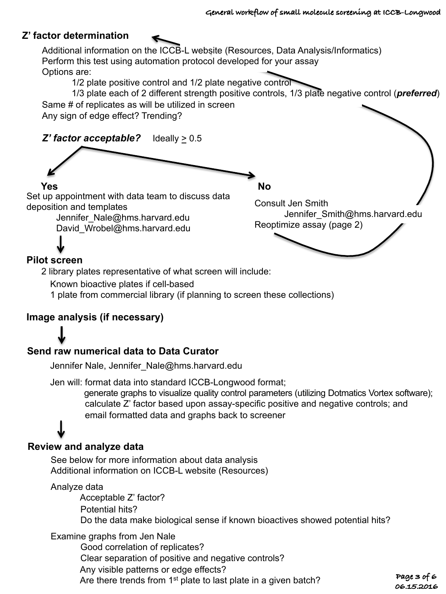### **Z' factor determination**

Additional information on the ICCB-L website (Resources, Data Analysis/Informatics) Perform this test using automation protocol developed for your assay Options are:

1/2 plate positive control and 1/2 plate negative control

1/3 plate each of 2 different strength positive controls, 1/3 plate negative control (*preferred*) Same # of replicates as will be utilized in screen

Any sign of edge effect? Trending?



#### **Pilot screen**

2 library plates representative of what screen will include:

Known bioactive plates if cell-based

1 plate from commercial library (if planning to screen these collections)

### **Image analysis (if necessary)**

## **Send raw numerical data to Data Curator**

Jennifer Nale, Jennifer\_Nale@hms.harvard.edu

Jen will: format data into standard ICCB-Longwood format;

 generate graphs to visualize quality control parameters (utilizing Dotmatics Vortex software); calculate Z' factor based upon assay-specific positive and negative controls; and email formatted data and graphs back to screener

# **Review and analyze data**

See below for more information about data analysis Additional information on ICCB-L website (Resources)

#### Analyze data

Acceptable Z' factor? Potential hits? Do the data make biological sense if known bioactives showed potential hits?

Examine graphs from Jen Nale

Good correlation of replicates? Clear separation of positive and negative controls? Any visible patterns or edge effects? Are there trends from 1<sup>st</sup> plate to last plate in a given batch?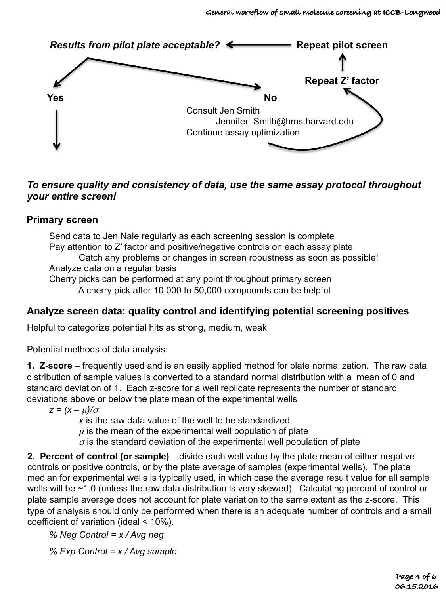

### *To ensure quality and consistency of data, use the same assay protocol throughout your entire screen!*

### **Primary screen**

Send data to Jen Nale regularly as each screening session is complete Pay attention to Z' factor and positive/negative controls on each assay plate Catch any problems or changes in screen robustness as soon as possible! Analyze data on a regular basis Cherry picks can be performed at any point throughout primary screen A cherry pick after 10,000 to 50,000 compounds can be helpful

## **Analyze screen data: quality control and identifying potential screening positives**

Helpful to categorize potential hits as strong, medium, weak

Potential methods of data analysis:

**1. Z-score** – frequently used and is an easily applied method for plate normalization. The raw data distribution of sample values is converted to a standard normal distribution with a mean of 0 and standard deviation of 1. Each z-score for a well replicate represents the number of standard deviations above or below the plate mean of the experimental wells

 $z = (x - \mu)/\sigma$ 

*x* is the raw data value of the well to be standardized

 $\mu$  is the mean of the experimental well population of plate

 $\sigma$  is the standard deviation of the experimental well population of plate

**2. Percent of control (or sample)** – divide each well value by the plate mean of either negative controls or positive controls, or by the plate average of samples (experimental wells). The plate median for experimental wells is typically used, in which case the average result value for all sample wells will be ~1.0 (unless the raw data distribution is very skewed). Calculating percent of control or plate sample average does not account for plate variation to the same extent as the z-score. This type of analysis should only be performed when there is an adequate number of controls and a small coefficient of variation (ideal < 10%).

*% Neg Control = x / Avg neg*

*% Exp Control = x / Avg sample*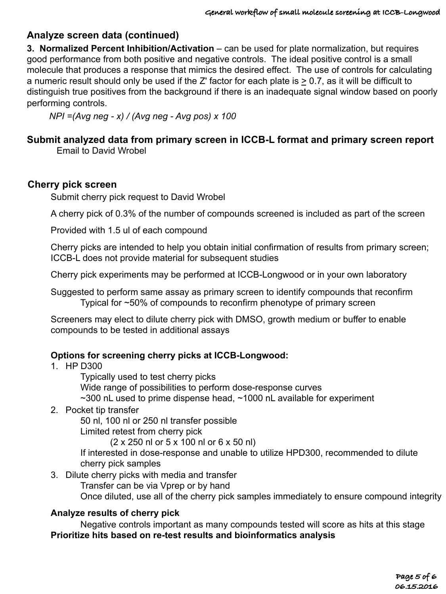## **Analyze screen data (continued)**

**3. Normalized Percent Inhibition/Activation** – can be used for plate normalization, but requires good performance from both positive and negative controls. The ideal positive control is a small molecule that produces a response that mimics the desired effect. The use of controls for calculating a numeric result should only be used if the Z' factor for each plate is > 0.7, as it will be difficult to distinguish true positives from the background if there is an inadequate signal window based on poorly performing controls.

*NPI =(Avg neg - x) / (Avg neg - Avg pos) x 100*

# **Submit analyzed data from primary screen in ICCB-L format and primary screen report**

Email to David Wrobel

#### **Cherry pick screen**

Submit cherry pick request to David Wrobel

A cherry pick of 0.3% of the number of compounds screened is included as part of the screen

Provided with 1.5 ul of each compound

Cherry picks are intended to help you obtain initial confirmation of results from primary screen; ICCB-L does not provide material for subsequent studies

Cherry pick experiments may be performed at ICCB-Longwood or in your own laboratory

Suggested to perform same assay as primary screen to identify compounds that reconfirm Typical for ~50% of compounds to reconfirm phenotype of primary screen

Screeners may elect to dilute cherry pick with DMSO, growth medium or buffer to enable compounds to be tested in additional assays

#### **Options for screening cherry picks at ICCB-Longwood:**

- 1. HP D300
	- Typically used to test cherry picks

Wide range of possibilities to perform dose-response curves

~300 nL used to prime dispense head, ~1000 nL available for experiment

2. Pocket tip transfer

50 nl, 100 nl or 250 nl transfer possible Limited retest from cherry pick

(2 x 250 nl or 5 x 100 nl or 6 x 50 nl)

If interested in dose-response and unable to utilize HPD300, recommended to dilute cherry pick samples

3. Dilute cherry picks with media and transfer

Transfer can be via Vprep or by hand

Once diluted, use all of the cherry pick samples immediately to ensure compound integrity

#### **Analyze results of cherry pick**

Negative controls important as many compounds tested will score as hits at this stage **Prioritize hits based on re-test results and bioinformatics analysis**